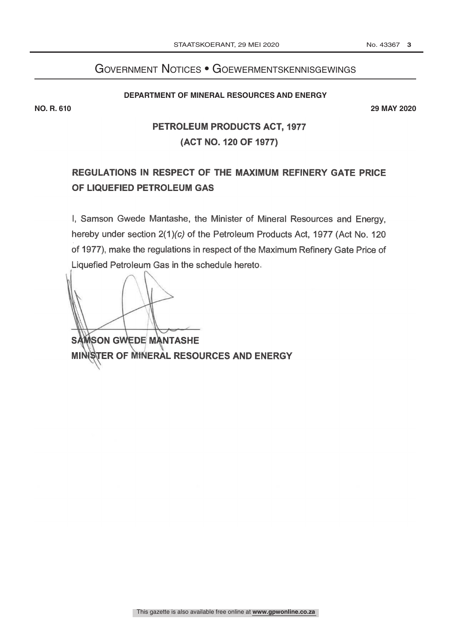# Government Notices • Goewermentskennisgewings

#### **DEPARTMENT OF MINERAL RESOURCES AND ENERGY**

**NO. R. 610 29 MAY 2020**

# PETROLEUM PRODUCTS ACT, 1977 (ACT NO. 120 OF 1977)

# REGULATIONS IN RESPECT OF THE MAXIMUM REFINERY GATE PRICE OF LIQUEFIED PETROLEUM GAS

I, Samson Gwede Mantashe, the Minister of Mineral Resources and Energy, hereby under section 2(1)(c) of the Petroleum Products Act, 1977 (Act No. 120 of 1977), make the regulations in respect of the Maximum Refinery Gate Price of Liquefied Petroleum Gas in the schedule hereto

**SAMSON GWEDE MANTASHE** MINISTER OF MINERAL RESOURCES AND ENERGY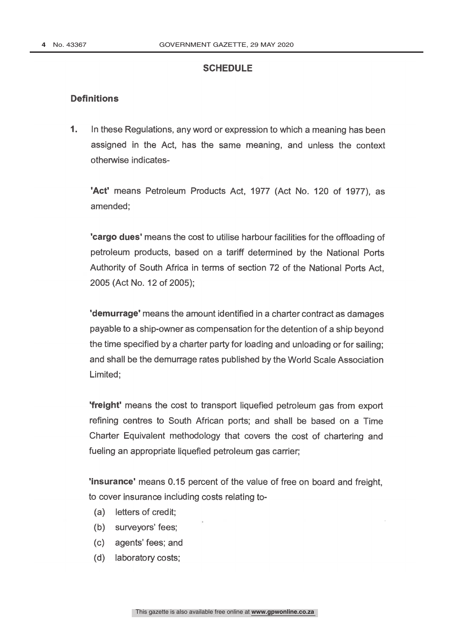## **SCHEDULE**

### **Definitions**

1. In these Regulations, any word or expression to which a meaning has been assigned in the Act, has the same meaning, and unless the context otherwise indicates-

'Act' means Petroleum Products Act, 1977 (Act No. 120 of 1977), as amended;

'cargo dues' means the cost to utilise harbour facilities for the offloading of petroleum products, based on a tariff determined by the National Ports Authority of South Africa in terms of section 72 of the National Ports Act, 2005 (Act No. 12 of 2005);

'demurrage' means the amount identified in a charter contract as damages payable to a ship -owner as compensation for the detention of a ship beyond the time specified by a charter party for loading and unloading or for sailing; and shall be the demurrage rates published by the World Scale Association Limited;

'freight' means the cost to transport liquefied petroleum gas from export refining centres to South African ports; and shall be based on a Time Charter Equivalent methodology that covers the cost of chartering and fueling an appropriate liquefied petroleum gas carrier;

'insurance' means 0.15 percent of the value of free on board and freight, to cover insurance including costs relating to-

- (a) letters of credit;
- (b) surveyors' fees;
- (c) agents' fees; and
- (d) laboratory costs;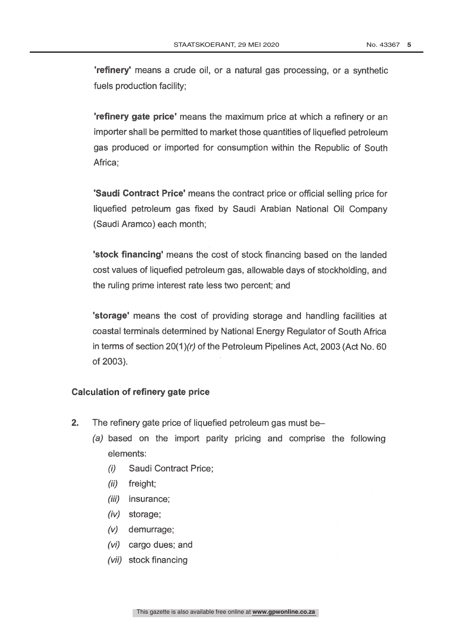'refinery' means a crude oil, or a natural gas processing, or a synthetic fuels production facility;

'refinery gate price' means the maximum price at which a refinery or an importer shall be permitted to market those quantities of liquefied petroleum gas produced or imported for consumption within the Republic of South Africa:

'Saudi Contract Price' means the contract price or official selling price for liquefied petroleum gas fixed by Saudi Arabian National Oil Company (Saudi Aramco) each month;

'stock financing' means the cost of stock financing based on the landed cost values of liquefied petroleum gas, allowable days of stockholding, and the ruling prime interest rate less two percent; and

'storage' means the cost of providing storage and handling facilities at coastal terminals determined by National Energy Regulator of South Africa in terms of section 20(1)(r) of the Petroleum Pipelines Act, 2003 (Act No. 60 of 2003).

### Calculation of refinery gate price

- 2. The refinery gate price of liquefied petroleum gas must be-
	- (a) based on the import parity pricing and comprise the following elements:
		- (i) Saudi Contract Price;
		- (ii) freight;
		- (iii) insurance;
		- (iv) storage;
		- (v) demurrage;
		- (vi) cargo dues; and
		- (vii) stock financing